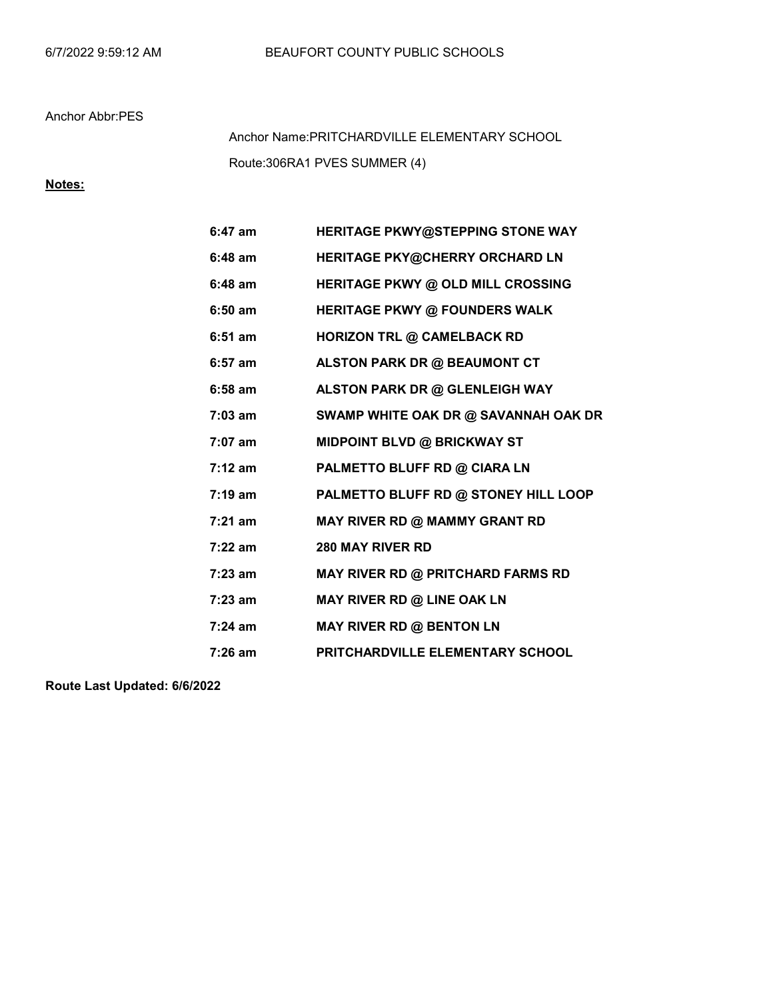Route:306RA1 PVES SUMMER (4) Anchor Name:PRITCHARDVILLE ELEMENTARY SCHOOL

## Notes:

| $6:47$ am         | HERITAGE PKWY@STEPPING STONE WAY        |
|-------------------|-----------------------------------------|
| $6:48$ am         | HERITAGE PKY@CHERRY ORCHARD LN          |
| $6:48$ am         | HERITAGE PKWY @ OLD MILL CROSSING       |
| $6:50$ am         | <b>HERITAGE PKWY @ FOUNDERS WALK</b>    |
| $6:51$ am         | <b>HORIZON TRL @ CAMELBACK RD</b>       |
| $6:57$ am         | ALSTON PARK DR @ BEAUMONT CT            |
| $6:58$ am         | ALSTON PARK DR @ GLENLEIGH WAY          |
| $7:03$ am         | SWAMP WHITE OAK DR @ SAVANNAH OAK DR    |
| $7:07$ am         | <b>MIDPOINT BLVD @ BRICKWAY ST</b>      |
| $7:12 \text{ am}$ | PALMETTO BLUFF RD @ CIARA LN            |
| $7:19 \text{ am}$ | PALMETTO BLUFF RD @ STONEY HILL LOOP    |
| $7:21$ am         | MAY RIVER RD @ MAMMY GRANT RD           |
| $7:22$ am         | <b>280 MAY RIVER RD</b>                 |
| $7:23$ am         | MAY RIVER RD @ PRITCHARD FARMS RD       |
| $7:23$ am         | MAY RIVER RD @ LINE OAK LN              |
| $7:24$ am         | <b>MAY RIVER RD @ BENTON LN</b>         |
| $7:26$ am         | <b>PRITCHARDVILLE ELEMENTARY SCHOOL</b> |
|                   |                                         |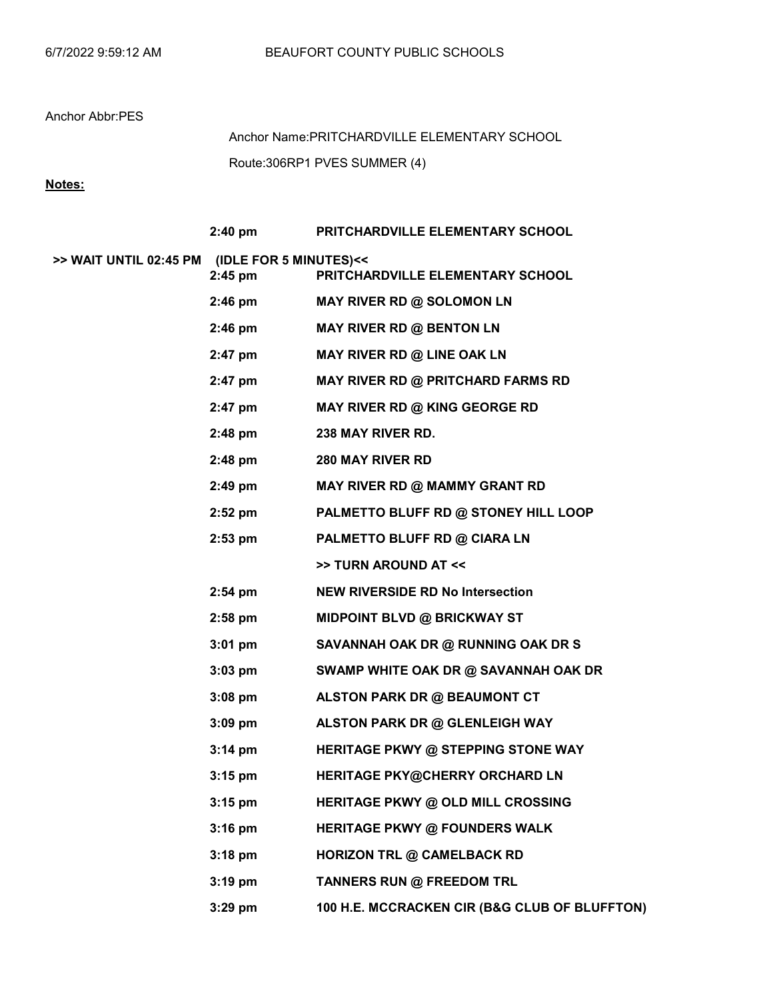Route:306RP1 PVES SUMMER (4) Anchor Name:PRITCHARDVILLE ELEMENTARY SCHOOL

# Notes:

|                                               | $2:40$ pm         | PRITCHARDVILLE ELEMENTARY SCHOOL              |
|-----------------------------------------------|-------------------|-----------------------------------------------|
| >> WAIT UNTIL 02:45 PM (IDLE FOR 5 MINUTES)<< | $2:45$ pm         | PRITCHARDVILLE ELEMENTARY SCHOOL              |
|                                               | $2:46$ pm         | MAY RIVER RD @ SOLOMON LN                     |
|                                               | $2:46$ pm         | <b>MAY RIVER RD @ BENTON LN</b>               |
|                                               | 2:47 pm           | MAY RIVER RD @ LINE OAK LN                    |
|                                               | $2:47$ pm         | MAY RIVER RD @ PRITCHARD FARMS RD             |
|                                               | 2:47 pm           | MAY RIVER RD @ KING GEORGE RD                 |
|                                               | $2:48$ pm         | 238 MAY RIVER RD.                             |
|                                               | $2:48$ pm         | <b>280 MAY RIVER RD</b>                       |
|                                               | $2:49$ pm         | MAY RIVER RD @ MAMMY GRANT RD                 |
|                                               | $2:52$ pm         | PALMETTO BLUFF RD @ STONEY HILL LOOP          |
|                                               | $2:53$ pm         | PALMETTO BLUFF RD @ CIARA LN                  |
|                                               |                   | >> TURN AROUND AT <<                          |
|                                               | $2:54$ pm         | <b>NEW RIVERSIDE RD No Intersection</b>       |
|                                               | $2:58$ pm         | <b>MIDPOINT BLVD @ BRICKWAY ST</b>            |
|                                               | $3:01$ pm         | SAVANNAH OAK DR @ RUNNING OAK DR S            |
|                                               | $3:03$ pm         | SWAMP WHITE OAK DR @ SAVANNAH OAK DR          |
|                                               | $3:08$ pm         | ALSTON PARK DR @ BEAUMONT CT                  |
|                                               | $3:09$ pm         | ALSTON PARK DR @ GLENLEIGH WAY                |
|                                               | $3:14 \text{ pm}$ | HERITAGE PKWY @ STEPPING STONE WAY            |
|                                               | $3:15$ pm         | HERITAGE PKY@CHERRY ORCHARD LN                |
|                                               | $3:15$ pm         | <b>HERITAGE PKWY @ OLD MILL CROSSING</b>      |
|                                               | $3:16$ pm         | <b>HERITAGE PKWY @ FOUNDERS WALK</b>          |
|                                               | $3:18$ pm         | <b>HORIZON TRL @ CAMELBACK RD</b>             |
|                                               | $3:19$ pm         | TANNERS RUN @ FREEDOM TRL                     |
|                                               | 3:29 pm           | 100 H.E. MCCRACKEN CIR (B&G CLUB OF BLUFFTON) |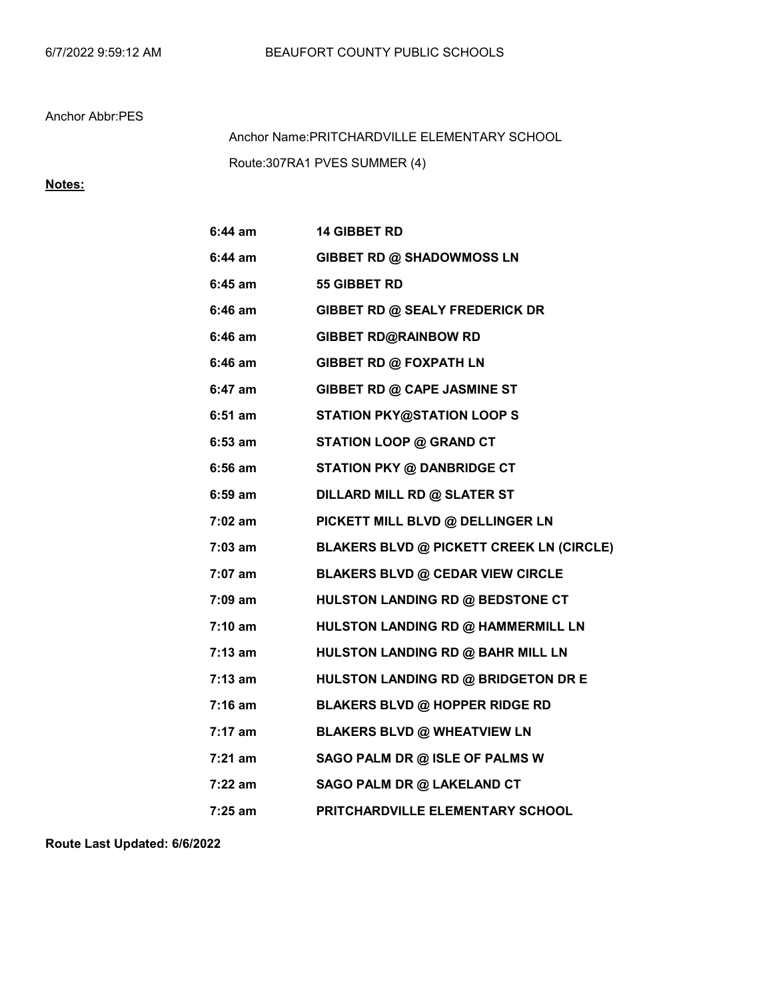Route:307RA1 PVES SUMMER (4) Anchor Name:PRITCHARDVILLE ELEMENTARY SCHOOL

# Notes:

| 6:44 am   | <b>14 GIBBET RD</b>                             |
|-----------|-------------------------------------------------|
| 6:44 am   | GIBBET RD @ SHADOWMOSS LN                       |
| $6:45$ am | 55 GIBBET RD                                    |
| 6:46 am   | GIBBET RD @ SEALY FREDERICK DR                  |
| 6:46 am   | <b>GIBBET RD@RAINBOW RD</b>                     |
| 6:46 am   | <b>GIBBET RD @ FOXPATH LN</b>                   |
| 6:47 am   | GIBBET RD @ CAPE JASMINE ST                     |
| $6:51$ am | <b>STATION PKY@STATION LOOP S</b>               |
| $6:53$ am | <b>STATION LOOP @ GRAND CT</b>                  |
| $6:56$ am | <b>STATION PKY @ DANBRIDGE CT</b>               |
| $6:59$ am | <b>DILLARD MILL RD @ SLATER ST</b>              |
| 7:02 am   | PICKETT MILL BLVD @ DELLINGER LN                |
| 7:03 am   | <b>BLAKERS BLVD @ PICKETT CREEK LN (CIRCLE)</b> |
| 7:07 am   | <b>BLAKERS BLVD @ CEDAR VIEW CIRCLE</b>         |
| 7:09 am   | HULSTON LANDING RD @ BEDSTONE CT                |
| 7:10 am   | HULSTON LANDING RD @ HAMMERMILL LN              |
| $7:13$ am | HULSTON LANDING RD @ BAHR MILL LN               |
| $7:13$ am | HULSTON LANDING RD @ BRIDGETON DR E             |
| $7:16$ am | <b>BLAKERS BLVD @ HOPPER RIDGE RD</b>           |
| 7:17 am   | <b>BLAKERS BLVD @ WHEATVIEW LN</b>              |
| $7:21$ am | SAGO PALM DR @ ISLE OF PALMS W                  |
| 7:22 am   | SAGO PALM DR @ LAKELAND CT                      |
| 7:25 am   | PRITCHARDVILLE ELEMENTARY SCHOOL                |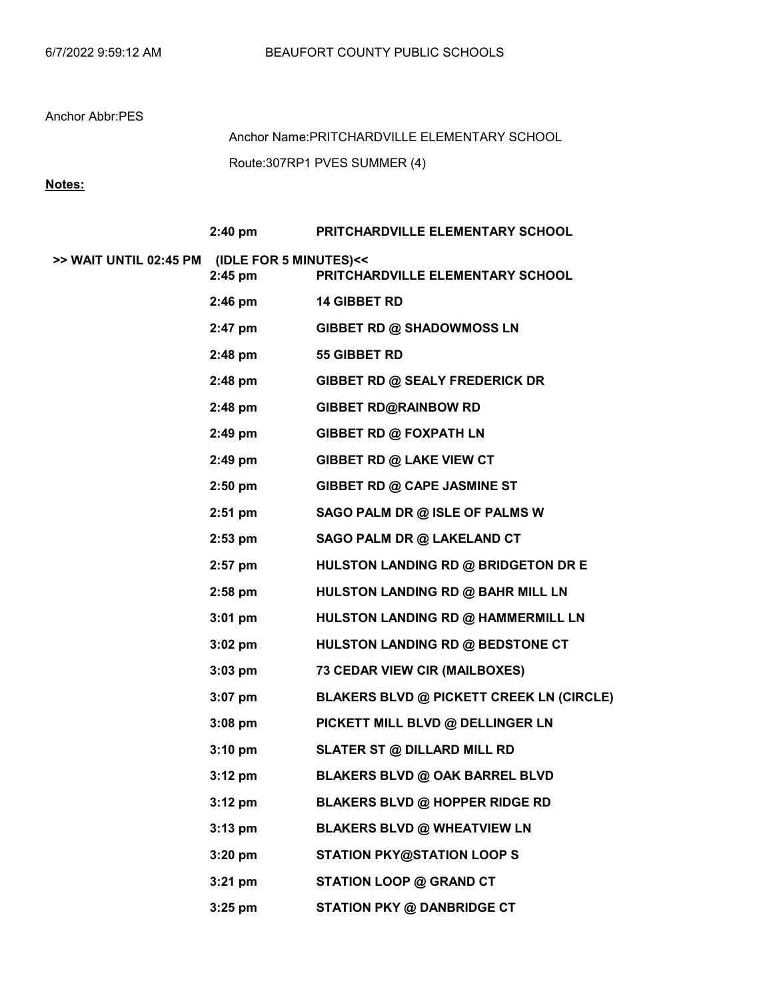Route:307RP1 PVES SUMMER (4) Anchor Name:PRITCHARDVILLE ELEMENTARY SCHOOL

Notes:

|                                               | $2:40 \text{ pm}$ | PRITCHARDVILLE ELEMENTARY SCHOOL                |
|-----------------------------------------------|-------------------|-------------------------------------------------|
| >> WAIT UNTIL 02:45 PM (IDLE FOR 5 MINUTES)<< | 2:45 pm           | PRITCHARDVILLE ELEMENTARY SCHOOL                |
|                                               | $2:46 \text{ pm}$ | <b>14 GIBBET RD</b>                             |
|                                               | 2:47 pm           | <b>GIBBET RD @ SHADOWMOSS LN</b>                |
|                                               | 2:48 pm           | 55 GIBBET RD                                    |
|                                               | $2:48 \text{ pm}$ | <b>GIBBET RD @ SEALY FREDERICK DR</b>           |
|                                               | $2:48$ pm         | <b>GIBBET RD@RAINBOW RD</b>                     |
|                                               | $2:49$ pm         | GIBBET RD @ FOXPATH LN                          |
|                                               | $2:49$ pm         | GIBBET RD @ LAKE VIEW CT                        |
|                                               | $2:50 \text{ pm}$ | GIBBET RD @ CAPE JASMINE ST                     |
|                                               | $2:51$ pm         | SAGO PALM DR @ ISLE OF PALMS W                  |
|                                               | $2:53 \text{ pm}$ | SAGO PALM DR @ LAKELAND CT                      |
|                                               | $2:57$ pm         | HULSTON LANDING RD @ BRIDGETON DR E             |
|                                               | $2:58 \text{ pm}$ | HULSTON LANDING RD @ BAHR MILL LN               |
|                                               | $3:01 \text{ pm}$ | HULSTON LANDING RD @ HAMMERMILL LN              |
|                                               | $3:02$ pm         | HULSTON LANDING RD @ BEDSTONE CT                |
|                                               | $3:03$ pm         | 73 CEDAR VIEW CIR (MAILBOXES)                   |
|                                               | $3:07$ pm         | <b>BLAKERS BLVD @ PICKETT CREEK LN (CIRCLE)</b> |
|                                               | $3:08$ pm         | PICKETT MILL BLVD @ DELLINGER LN                |
|                                               | $3:10 \text{ pm}$ | <b>SLATER ST @ DILLARD MILL RD</b>              |
|                                               | $3:12 \text{ pm}$ | <b>BLAKERS BLVD @ OAK BARREL BLVD</b>           |
|                                               | $3:12$ pm         | <b>BLAKERS BLVD @ HOPPER RIDGE RD</b>           |
|                                               | $3:13$ pm         | <b>BLAKERS BLVD @ WHEATVIEW LN</b>              |
|                                               | $3:20$ pm         | <b>STATION PKY@STATION LOOP S</b>               |
|                                               | $3:21$ pm         | <b>STATION LOOP @ GRAND CT</b>                  |
|                                               | $3:25$ pm         | <b>STATION PKY @ DANBRIDGE CT</b>               |